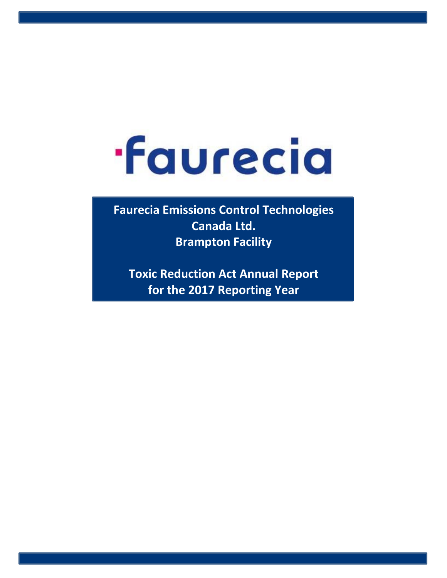## **faurecia**

**Faurecia Emissions Control Technologies Canada Ltd. Brampton Facility**

**Toxic Reduction Act Annual Report for the 2017 Reporting Year**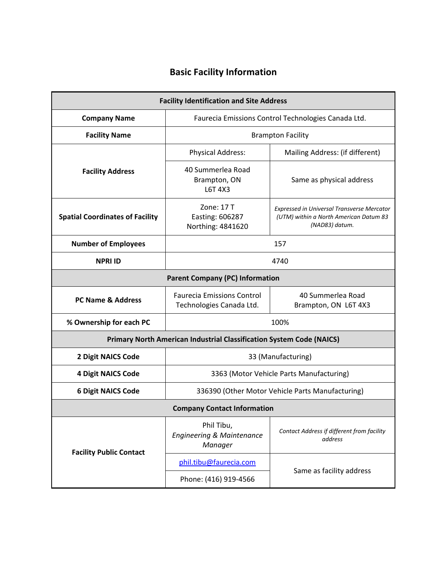## **Basic Facility Information**

| <b>Facility Identification and Site Address</b>                             |                                                               |                                                                                                               |  |  |  |  |  |  |  |  |  |  |  |
|-----------------------------------------------------------------------------|---------------------------------------------------------------|---------------------------------------------------------------------------------------------------------------|--|--|--|--|--|--|--|--|--|--|--|
| <b>Company Name</b><br>Faurecia Emissions Control Technologies Canada Ltd.  |                                                               |                                                                                                               |  |  |  |  |  |  |  |  |  |  |  |
| <b>Facility Name</b>                                                        | <b>Brampton Facility</b>                                      |                                                                                                               |  |  |  |  |  |  |  |  |  |  |  |
|                                                                             | <b>Physical Address:</b>                                      | Mailing Address: (if different)                                                                               |  |  |  |  |  |  |  |  |  |  |  |
| <b>Facility Address</b>                                                     | 40 Summerlea Road<br>Brampton, ON<br>L6T 4X3                  | Same as physical address                                                                                      |  |  |  |  |  |  |  |  |  |  |  |
| <b>Spatial Coordinates of Facility</b>                                      | Zone: 17 T<br>Easting: 606287<br>Northing: 4841620            | <b>Expressed in Universal Transverse Mercator</b><br>(UTM) within a North American Datum 83<br>(NAD83) datum. |  |  |  |  |  |  |  |  |  |  |  |
| <b>Number of Employees</b>                                                  | 157                                                           |                                                                                                               |  |  |  |  |  |  |  |  |  |  |  |
| <b>NPRI ID</b><br>4740                                                      |                                                               |                                                                                                               |  |  |  |  |  |  |  |  |  |  |  |
| <b>Parent Company (PC) Information</b>                                      |                                                               |                                                                                                               |  |  |  |  |  |  |  |  |  |  |  |
| <b>PC Name &amp; Address</b>                                                | <b>Faurecia Emissions Control</b><br>Technologies Canada Ltd. | 40 Summerlea Road<br>Brampton, ON L6T 4X3                                                                     |  |  |  |  |  |  |  |  |  |  |  |
| % Ownership for each PC                                                     | 100%                                                          |                                                                                                               |  |  |  |  |  |  |  |  |  |  |  |
| <b>Primary North American Industrial Classification System Code (NAICS)</b> |                                                               |                                                                                                               |  |  |  |  |  |  |  |  |  |  |  |
| <b>2 Digit NAICS Code</b><br>33 (Manufacturing)                             |                                                               |                                                                                                               |  |  |  |  |  |  |  |  |  |  |  |
| <b>4 Digit NAICS Code</b>                                                   | 3363 (Motor Vehicle Parts Manufacturing)                      |                                                                                                               |  |  |  |  |  |  |  |  |  |  |  |
| <b>6 Digit NAICS Code</b>                                                   | 336390 (Other Motor Vehicle Parts Manufacturing)              |                                                                                                               |  |  |  |  |  |  |  |  |  |  |  |
| <b>Company Contact Information</b>                                          |                                                               |                                                                                                               |  |  |  |  |  |  |  |  |  |  |  |
| <b>Facility Public Contact</b>                                              | Phil Tibu,<br><b>Engineering &amp; Maintenance</b><br>Manager | Contact Address if different from facility<br>address                                                         |  |  |  |  |  |  |  |  |  |  |  |
|                                                                             | phil.tibu@faurecia.com                                        |                                                                                                               |  |  |  |  |  |  |  |  |  |  |  |
|                                                                             | Phone: (416) 919-4566                                         | Same as facility address                                                                                      |  |  |  |  |  |  |  |  |  |  |  |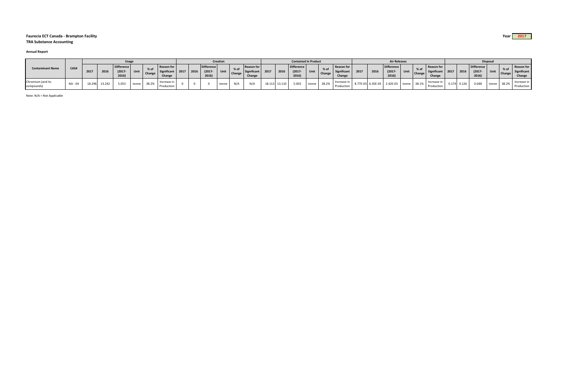## **Faurecia ECT Canada ‐ Brampton Facility Year 2017 TRA Substance Accounting**

## **Annual Report**

| <b>Contaminant Name</b>         | CAS#    | <b>Usage</b> |        |                                         |       |                     |                                     | Creation |      |                                  |             |                  | <b>Contained In Product</b>                       |        |        |                                         |       |        | <b>Air Releases</b>                 |      |                   |                                  |                   |               | <b>Disposal</b>                            |  |       |                                         |       |  |                                     |
|---------------------------------|---------|--------------|--------|-----------------------------------------|-------|---------------------|-------------------------------------|----------|------|----------------------------------|-------------|------------------|---------------------------------------------------|--------|--------|-----------------------------------------|-------|--------|-------------------------------------|------|-------------------|----------------------------------|-------------------|---------------|--------------------------------------------|--|-------|-----------------------------------------|-------|--|-------------------------------------|
|                                 |         | 2017         | 2016   | <b>Difference</b><br>$(2017 -$<br>2016) | Unit  | <sup>1</sup> Change | Reason for<br>Significant<br>Change | 2017     | 2016 | Difference<br>$(2017 -$<br>2016) | <b>Unit</b> | $%$ of<br>Change | <b>Reason for</b><br><b>Significant</b><br>Change | 2017   | 2016   | <b>Difference</b><br>$(2017 -$<br>2016) | Unit  | Change | Reason for<br>Significant<br>Change | 2017 | 2016              | Difference<br>$(2017 -$<br>2016) | Unit              | <b>Change</b> | l Reason for<br>Significant 2017<br>Change |  | 2016  | <b>Difference</b><br>$(2017 -$<br>2016) | Unit  |  | Reason for<br>Significant<br>Change |
| Chromium (and its<br>compounds) | NA - 04 | 18.29        | 13.242 | 5.053                                   | tonne | 38.2%               | Increase in<br>Production           |          |      |                                  | tonne       | N/A              |                                                   | 18.113 | 13.110 | 5.003                                   | tonne | 38.2%  | Increase<br>Production              |      | 8.77E-03 6.35E-03 | 2.42E-03                         | tonn <sup>,</sup> | 38.1%         | Increase in<br>Production                  |  | 0.126 | 0.048                                   | tonne |  | Increase in<br>Productior           |

Note: N/A <sup>=</sup> Not Applicable